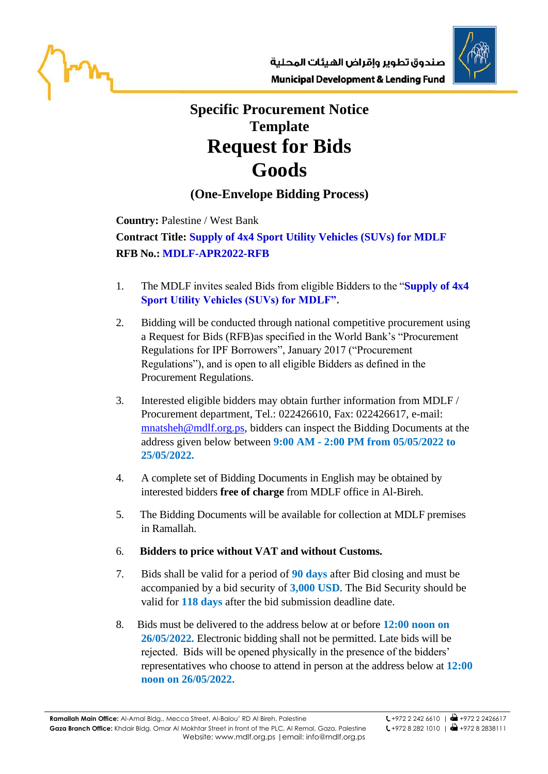



## **Specific Procurement Notice Template Request for Bids Goods**

## **(One-Envelope Bidding Process)**

**Country:** Palestine / West Bank

**Contract Title: Supply of 4x4 Sport Utility Vehicles (SUVs) for MDLF RFB No.: MDLF-APR2022-RFB**

- 1. The MDLF invites sealed Bids from eligible Bidders to the "**Supply of 4x4 Sport Utility Vehicles (SUVs) for MDLF".**
- 2. Bidding will be conducted through national competitive procurement using a Request for Bids (RFB)as specified in the World Bank's "Procurement Regulations for IPF Borrowers", January 2017 ("Procurement Regulations"), and is open to all eligible Bidders as defined in the Procurement Regulations.
- 3. Interested eligible bidders may obtain further information from MDLF / Procurement department, Tel.: 022426610, Fax: 022426617, e-mail: [mnatsheh@mdlf.org.ps,](mailto:mnatsheh@mdlf.org.ps) bidders can inspect the Bidding Documents at the address given below between **9:00 AM - 2:00 PM from 05/05/2022 to 25/05/2022.**
- 4. A complete set of Bidding Documents in English may be obtained by interested bidders **free of charge** from MDLF office in Al-Bireh.
- 5. The Bidding Documents will be available for collection at MDLF premises in Ramallah.
- 6. **Bidders to price without VAT and without Customs.**
- 7. Bids shall be valid for a period of **90 days** after Bid closing and must be accompanied by a bid security of **3,000 USD**. The Bid Security should be valid for **118 days** after the bid submission deadline date.
- 8. Bids must be delivered to the address below at or before **12:00 noon on 26/05/2022.** Electronic bidding shall not be permitted. Late bids will be rejected. Bids will be opened physically in the presence of the bidders' representatives who choose to attend in person at the address below at **12:00 noon on 26/05/2022.**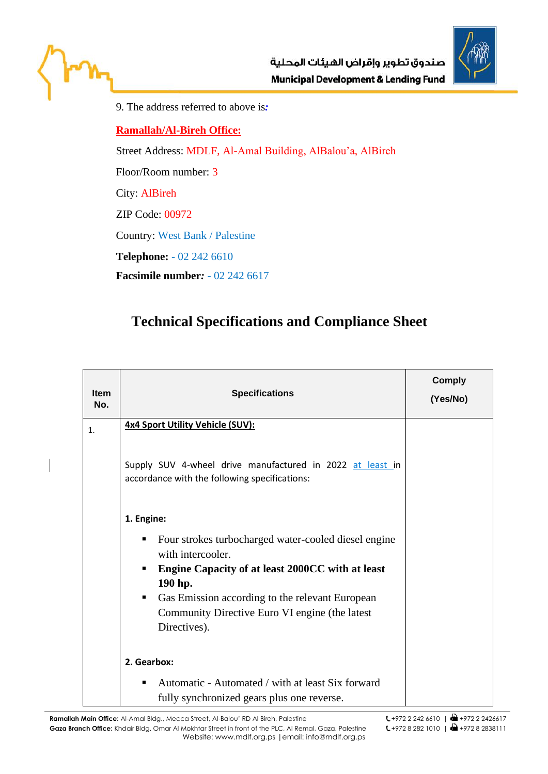



9. The address referred to above is*:*

## **Ramallah/Al-Bireh Office:**

Street Address: MDLF, Al-Amal Building, AlBalou'a, AlBireh

Floor/Room number: 3

City: AlBireh

ZIP Code: 00972

Country: West Bank / Palestine

**Telephone:** - 02 242 6610

**Facsimile number***:* - 02 242 6617

## **Technical Specifications and Compliance Sheet**

| <b>Item</b><br>No. | <b>Specifications</b>                                                                                                                                                                                      | <b>Comply</b><br>(Yes/No) |
|--------------------|------------------------------------------------------------------------------------------------------------------------------------------------------------------------------------------------------------|---------------------------|
| $\mathbf{1}$ .     | 4x4 Sport Utility Vehicle (SUV):                                                                                                                                                                           |                           |
|                    | Supply SUV 4-wheel drive manufactured in 2022 at least in<br>accordance with the following specifications:                                                                                                 |                           |
|                    | 1. Engine:                                                                                                                                                                                                 |                           |
|                    | Four strokes turbocharged water-cooled diesel engine<br>٠<br>with intercooler.<br>Engine Capacity of at least 2000CC with at least<br>٠<br>190 hp.<br>Gas Emission according to the relevant European<br>٠ |                           |
|                    | Community Directive Euro VI engine (the latest<br>Directives).                                                                                                                                             |                           |
|                    | 2. Gearbox:                                                                                                                                                                                                |                           |
|                    | Automatic - Automated / with at least Six forward<br>٠<br>fully synchronized gears plus one reverse.                                                                                                       |                           |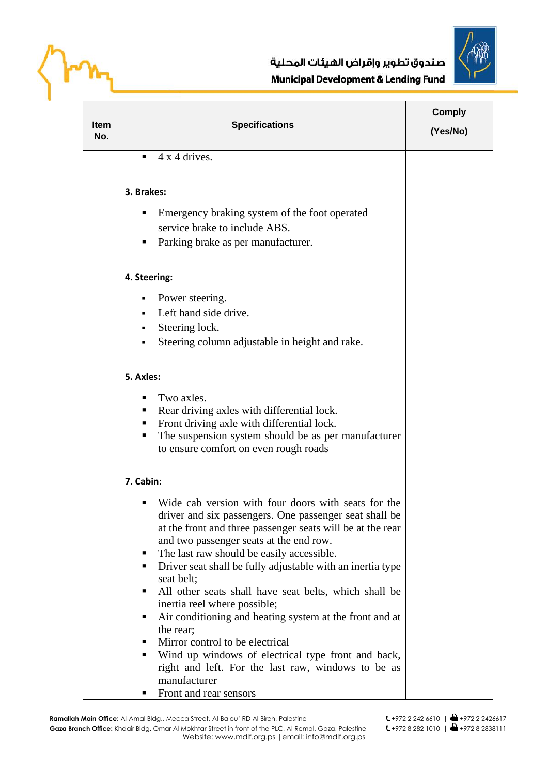



| Item<br>No. | <b>Specifications</b>                                                                                              | <b>Comply</b><br>(Yes/No) |
|-------------|--------------------------------------------------------------------------------------------------------------------|---------------------------|
|             | 4 x 4 drives.<br>٠                                                                                                 |                           |
|             |                                                                                                                    |                           |
|             | 3. Brakes:                                                                                                         |                           |
|             | Emergency braking system of the foot operated<br>п                                                                 |                           |
|             | service brake to include ABS.                                                                                      |                           |
|             | Parking brake as per manufacturer.<br>ш                                                                            |                           |
|             |                                                                                                                    |                           |
|             | 4. Steering:                                                                                                       |                           |
|             | Power steering.                                                                                                    |                           |
|             | Left hand side drive.                                                                                              |                           |
|             | Steering lock.<br>٠                                                                                                |                           |
|             | Steering column adjustable in height and rake.                                                                     |                           |
|             |                                                                                                                    |                           |
|             | 5. Axles:                                                                                                          |                           |
|             | Two axles.                                                                                                         |                           |
|             | Rear driving axles with differential lock.<br>٠                                                                    |                           |
|             | Front driving axle with differential lock.                                                                         |                           |
|             | The suspension system should be as per manufacturer<br>٠                                                           |                           |
|             | to ensure comfort on even rough roads                                                                              |                           |
|             | 7. Cabin:                                                                                                          |                           |
|             | Wide cab version with four doors with seats for the                                                                |                           |
|             | driver and six passengers. One passenger seat shall be                                                             |                           |
|             | at the front and three passenger seats will be at the rear                                                         |                           |
|             | and two passenger seats at the end row.                                                                            |                           |
|             | The last raw should be easily accessible.<br>ш<br>Driver seat shall be fully adjustable with an inertia type<br>п. |                           |
|             | seat belt;                                                                                                         |                           |
|             | All other seats shall have seat belts, which shall be                                                              |                           |
|             | inertia reel where possible;                                                                                       |                           |
|             | Air conditioning and heating system at the front and at<br>п                                                       |                           |
|             | the rear;                                                                                                          |                           |
|             | Mirror control to be electrical<br>п                                                                               |                           |
|             | Wind up windows of electrical type front and back,<br>right and left. For the last raw, windows to be as           |                           |
|             | manufacturer                                                                                                       |                           |
|             | Front and rear sensors<br>ш                                                                                        |                           |